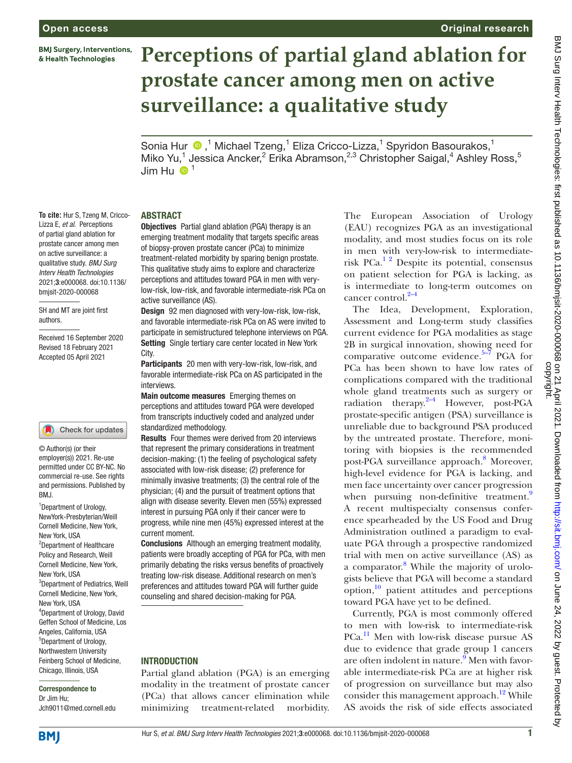**BMJ Surgery, Interventions,** & Health Technologies

**To cite:** Hur S, Tzeng M, Cricco-Lizza E, *et al*. Perceptions of partial gland ablation for prostate cancer among men on active surveillance: a qualitative study. *BMJ Surg Interv Health Technologies* 2021;3:e000068. doi:10.1136/ bmjsit-2020-000068 SH and MT are joint first

authors.

#### Original research

# **Perceptions of partial gland ablation for prostate cancer among men on active surveillance: a qualitative study**

Sonia Hur <sup>®</sup>,<sup>1</sup> Michael Tzeng,<sup>1</sup> Eliza Cricco-Lizza,<sup>1</sup> Spyridon Basourakos,<sup>1</sup> Miko Yu,<sup>1</sup> Jessica Ancker,<sup>2</sup> Erika Abramson,<sup>2,3</sup> Christopher Saigal,<sup>4</sup> Ashley Ross,<sup>5</sup> Jim Hu  $\bigoplus$ <sup>1</sup>

#### ABSTRACT

Objectives Partial gland ablation (PGA) therapy is an emerging treatment modality that targets specific areas of biopsy-proven prostate cancer (PCa) to minimize treatment-related morbidity by sparing benign prostate. This qualitative study aims to explore and characterize perceptions and attitudes toward PGA in men with verylow-risk, low-risk, and favorable intermediate-risk PCa on active surveillance (AS).

Design 92 men diagnosed with very-low-risk, low-risk, and favorable intermediate-risk PCa on AS were invited to participate in semistructured telephone interviews on PGA. Setting Single tertiary care center located in New York City.

Participants 20 men with very-low-risk, low-risk, and favorable intermediate-risk PCa on AS participated in the interviews.

Main outcome measures Emerging themes on perceptions and attitudes toward PGA were developed from transcripts inductively coded and analyzed under standardized methodology.

Results Four themes were derived from 20 interviews that represent the primary considerations in treatment decision-making: (1) the feeling of psychological safety associated with low-risk disease; (2) preference for minimally invasive treatments; (3) the central role of the physician; (4) and the pursuit of treatment options that align with disease severity. Eleven men (55%) expressed interest in pursuing PGA only if their cancer were to progress, while nine men (45%) expressed interest at the current moment.

Conclusions Although an emerging treatment modality, patients were broadly accepting of PGA for PCa, with men primarily debating the risks versus benefits of proactively treating low-risk disease. Additional research on men's preferences and attitudes toward PGA will further guide counseling and shared decision-making for PGA.

#### **INTRODUCTION**

Partial gland ablation (PGA) is an emerging modality in the treatment of prostate cancer (PCa) that allows cancer elimination while minimizing treatment-related morbidity.

The European Association of Urology (EAU) recognizes PGA as an investigational modality, and most studies focus on its role in men with very-low-risk to intermediaterisk PCa.[1 2](#page-6-0) Despite its potential, consensus on patient selection for PGA is lacking, as is intermediate to long-term outcomes on cancer control.<sup>2–4</sup>

The Idea, Development, Exploration, Assessment and Long-term study classifies current evidence for PGA modalities as stage 2B in surgical innovation, showing need for comparative outcome evidence. $5-7$  PGA for PCa has been shown to have low rates of complications compared with the traditional whole gland treatments such as surgery or radiation therapy. $2-4$  However, post-PGA prostate-specific antigen (PSA) surveillance is unreliable due to background PSA produced by the untreated prostate. Therefore, monitoring with biopsies is the recommended post-PGA surveillance approach.<sup>[8](#page-6-3)</sup> Moreover, high-level evidence for PGA is lacking, and men face uncertainty over cancer progression when pursuing non-definitive treatment.<sup>9</sup> A recent multispecialty consensus conference spearheaded by the US Food and Drug Administration outlined a paradigm to evaluate PGA through a prospective randomized trial with men on active surveillance (AS) as a comparator.<sup>[8](#page-6-3)</sup> While the majority of urologists believe that PGA will become a standard option,[10](#page-7-0) patient attitudes and perceptions toward PGA have yet to be defined.

Currently, PGA is most commonly offered to men with low-risk to intermediate-risk PCa.<sup>11</sup> Men with low-risk disease pursue AS due to evidence that grade group 1 cancers are often indolent in nature.<sup>[9](#page-6-4)</sup> Men with favorable intermediate-risk PCa are at higher risk of progression on surveillance but may also consider this management approach.<sup>12</sup> While AS avoids the risk of side effects associated

#### © Author(s) (or their employer(s)) 2021. Re-use

Check for updates

Received 16 September 2020 Revised 18 February 2021 Accepted 05 April 2021

permitted under CC BY-NC. No commercial re-use. See rights and permissions. Published by BMJ.

1 Department of Urology, NewYork-Presbyterian/Weill Cornell Medicine, New York, New York, USA <sup>2</sup>Department of Healthcare Policy and Research, Weill Cornell Medicine, New York, New York, USA 3 Department of Pediatrics, Weill Cornell Medicine, New York, New York, USA 4 Department of Urology, David Geffen School of Medicine, Los Angeles, California, USA 5 Department of Urology, Northwestern University Feinberg School of Medicine, Chicago, Illinois, USA

#### Correspondence to Dr Jim Hu;

Jch9011@med.cornell.edu



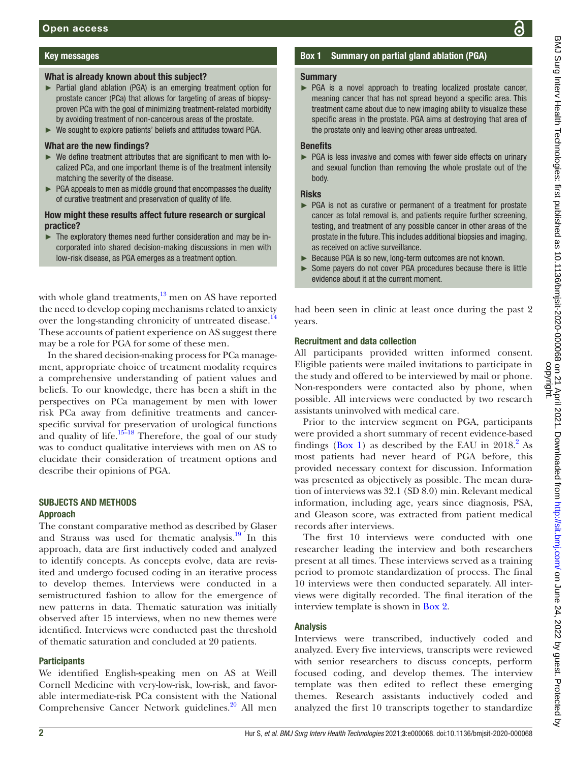# Key messages

#### What is already known about this subject?

- ► Partial gland ablation (PGA) is an emerging treatment option for prostate cancer (PCa) that allows for targeting of areas of biopsyproven PCa with the goal of minimizing treatment-related morbidity by avoiding treatment of non-cancerous areas of the prostate.
- ► We sought to explore patients' beliefs and attitudes toward PGA.

#### What are the new findings?

- ► We define treatment attributes that are significant to men with localized PCa, and one important theme is of the treatment intensity matching the severity of the disease.
- $\blacktriangleright$  PGA appeals to men as middle ground that encompasses the duality of curative treatment and preservation of quality of life.

#### How might these results affect future research or surgical practice?

► The exploratory themes need further consideration and may be incorporated into shared decision-making discussions in men with low-risk disease, as PGA emerges as a treatment option.

with whole gland treatments,  $^{13}$  $^{13}$  $^{13}$  men on AS have reported the need to develop coping mechanisms related to anxiety over the long-standing chronicity of untreated disease.<sup>[14](#page-7-4)</sup> These accounts of patient experience on AS suggest there may be a role for PGA for some of these men.

In the shared decision-making process for PCa management, appropriate choice of treatment modality requires a comprehensive understanding of patient values and beliefs. To our knowledge, there has been a shift in the perspectives on PCa management by men with lower risk PCa away from definitive treatments and cancerspecific survival for preservation of urological functions and quality of life.<sup>15–18</sup> Therefore, the goal of our study was to conduct qualitative interviews with men on AS to elucidate their consideration of treatment options and describe their opinions of PGA.

## SUBJECTS AND METHODS Approach

The constant comparative method as described by Glaser and Strauss was used for thematic analysis.<sup>19</sup> In this approach, data are first inductively coded and analyzed to identify concepts. As concepts evolve, data are revisited and undergo focused coding in an iterative process to develop themes. Interviews were conducted in a semistructured fashion to allow for the emergence of new patterns in data. Thematic saturation was initially observed after 15 interviews, when no new themes were identified. Interviews were conducted past the threshold of thematic saturation and concluded at 20 patients.

## **Participants**

We identified English-speaking men on AS at Weill Cornell Medicine with very-low-risk, low-risk, and favorable intermediate-risk PCa consistent with the National Comprehensive Cancer Network guidelines.<sup>20</sup> All men

# Box 1 Summary on partial gland ablation (PGA)

#### <span id="page-1-0"></span>Summary

► PGA is a novel approach to treating localized prostate cancer, meaning cancer that has not spread beyond a specific area. This treatment came about due to new imaging ability to visualize these specific areas in the prostate. PGA aims at destroying that area of the prostate only and leaving other areas untreated.

## **Benefits**

► PGA is less invasive and comes with fewer side effects on urinary and sexual function than removing the whole prostate out of the body.

## Risks

- ► PGA is not as curative or permanent of a treatment for prostate cancer as total removal is, and patients require further screening, testing, and treatment of any possible cancer in other areas of the prostate in the future. This includes additional biopsies and imaging, as received on active surveillance.
- ► Because PGA is so new, long-term outcomes are not known.
- ► Some payers do not cover PGA procedures because there is little evidence about it at the current moment.

had been seen in clinic at least once during the past 2 years.

# Recruitment and data collection

All participants provided written informed consent. Eligible patients were mailed invitations to participate in the study and offered to be interviewed by mail or phone. Non-responders were contacted also by phone, when possible. All interviews were conducted by two research assistants uninvolved with medical care.

Prior to the interview segment on PGA, participants were provided a short summary of recent evidence-based findings ([Box](#page-1-0) 1) as described by the EAU in  $2018<sup>2</sup>$  As most patients had never heard of PGA before, this provided necessary context for discussion. Information was presented as objectively as possible. The mean duration of interviews was 32.1 (SD 8.0) min. Relevant medical information, including age, years since diagnosis, PSA, and Gleason score, was extracted from patient medical records after interviews.

The first 10 interviews were conducted with one researcher leading the interview and both researchers present at all times. These interviews served as a training period to promote standardization of process. The final 10 interviews were then conducted separately. All interviews were digitally recorded. The final iteration of the interview template is shown in [Box](#page-2-0) 2.

# Analysis

Interviews were transcribed, inductively coded and analyzed. Every five interviews, transcripts were reviewed with senior researchers to discuss concepts, perform focused coding, and develop themes. The interview template was then edited to reflect these emerging themes. Research assistants inductively coded and analyzed the first 10 transcripts together to standardize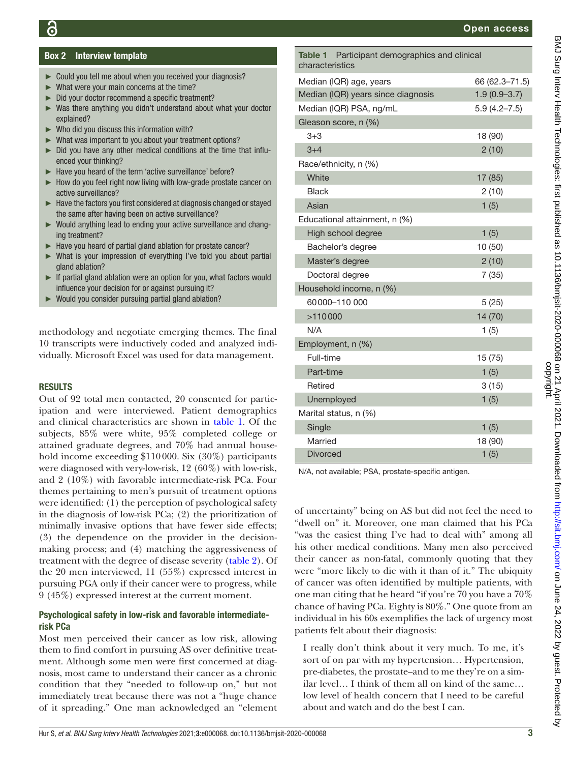# Box 2 Interview template

- <span id="page-2-0"></span>► Could you tell me about when you received your diagnosis?
- ► What were your main concerns at the time?
- ► Did your doctor recommend a specific treatment?
- ► Was there anything you didn't understand about what your doctor explained?
- ► Who did you discuss this information with?
- ► What was important to you about your treatment options?
- ► Did you have any other medical conditions at the time that influenced your thinking?
- Have you heard of the term 'active surveillance' before?
- ► How do you feel right now living with low-grade prostate cancer on active surveillance?
- ► Have the factors you first considered at diagnosis changed or stayed the same after having been on active surveillance?
- ► Would anything lead to ending your active surveillance and changing treatment?
- ► Have you heard of partial gland ablation for prostate cancer?
- ► What is your impression of everything I've told you about partial gland ablation?
- ► If partial gland ablation were an option for you, what factors would influence your decision for or against pursuing it?
- ► Would you consider pursuing partial gland ablation?

methodology and negotiate emerging themes. The final 10 transcripts were inductively coded and analyzed individually. Microsoft Excel was used for data management.

#### **RESULTS**

Out of 92 total men contacted, 20 consented for participation and were interviewed. Patient demographics and clinical characteristics are shown in [table](#page-2-1) 1. Of the subjects, 85% were white, 95% completed college or attained graduate degrees, and 70% had annual household income exceeding \$110000. Six (30%) participants were diagnosed with very-low-risk, 12 (60%) with low-risk, and 2 (10%) with favorable intermediate-risk PCa. Four themes pertaining to men's pursuit of treatment options were identified: (1) the perception of psychological safety in the diagnosis of low-risk PCa; (2) the prioritization of minimally invasive options that have fewer side effects; (3) the dependence on the provider in the decisionmaking process; and (4) matching the aggressiveness of treatment with the degree of disease severity ([table](#page-3-0) 2). Of the 20 men interviewed, 11 (55%) expressed interest in pursuing PGA only if their cancer were to progress, while 9 (45%) expressed interest at the current moment.

#### Psychological safety in low-risk and favorable intermediaterisk PCa

Most men perceived their cancer as low risk, allowing them to find comfort in pursuing AS over definitive treatment. Although some men were first concerned at diagnosis, most came to understand their cancer as a chronic condition that they "needed to follow-up on," but not immediately treat because there was not a "huge chance of it spreading." One man acknowledged an "element

<span id="page-2-1"></span>

| Table 1 Participant demographics and clinical<br>characteristics |                  |
|------------------------------------------------------------------|------------------|
| Median (IQR) age, years                                          | 66 (62.3-71.5)   |
| Median (IQR) years since diagnosis                               | $1.9(0.9 - 3.7)$ |
| Median (IQR) PSA, ng/mL                                          | $5.9(4.2 - 7.5)$ |
| Gleason score, n (%)                                             |                  |
| $3 + 3$                                                          | 18 (90)          |
| $3 + 4$                                                          | 2(10)            |
| Race/ethnicity, n (%)                                            |                  |
| White                                                            | 17 (85)          |
| <b>Black</b>                                                     | 2(10)            |
| Asian                                                            | 1(5)             |
| Educational attainment, n (%)                                    |                  |
| High school degree                                               | 1(5)             |
| Bachelor's degree                                                | 10 (50)          |
| Master's degree                                                  | 2(10)            |
| Doctoral degree                                                  | 7(35)            |
| Household income, n (%)                                          |                  |
| 60000-110000                                                     | 5(25)            |
| >110000                                                          | 14 (70)          |
| N/A                                                              | 1(5)             |
| Employment, n (%)                                                |                  |
| Full-time                                                        | 15 (75)          |
| Part-time                                                        | 1(5)             |
| Retired                                                          | 3(15)            |
| Unemployed                                                       | 1(5)             |
| Marital status, n (%)                                            |                  |
| Single                                                           | 1(5)             |
| Married                                                          | 18 (90)          |
| <b>Divorced</b>                                                  | 1(5)             |

N/A, not available; PSA, prostate-specific antigen.

of uncertainty" being on AS but did not feel the need to "dwell on" it. Moreover, one man claimed that his PCa "was the easiest thing I've had to deal with" among all his other medical conditions. Many men also perceived their cancer as non-fatal, commonly quoting that they were "more likely to die with it than of it." The ubiquity of cancer was often identified by multiple patients, with one man citing that he heard "if you're 70 you have a 70% chance of having PCa. Eighty is 80%." One quote from an individual in his 60s exemplifies the lack of urgency most patients felt about their diagnosis:

I really don't think about it very much. To me, it's sort of on par with my hypertension… Hypertension, pre-diabetes, the prostate-and to me they're on a similar level… I think of them all on kind of the same… low level of health concern that I need to be careful about and watch and do the best I can.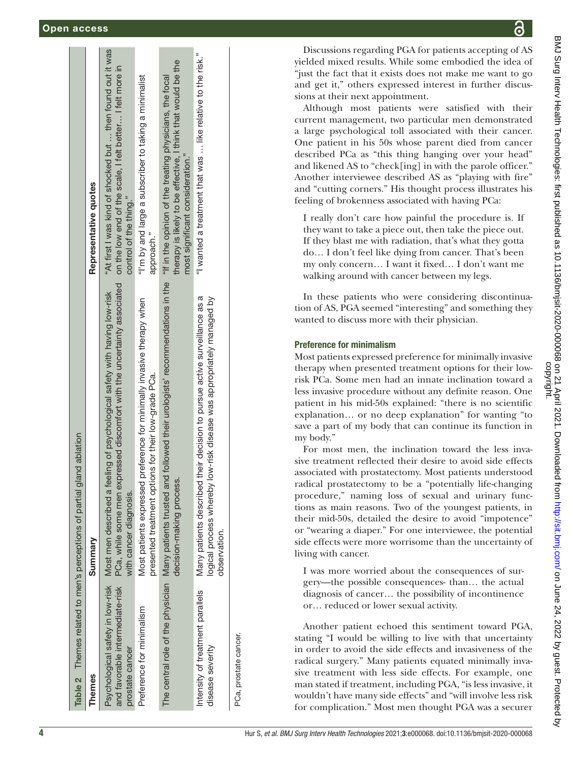|                                                      | Table 2 Themes related to men's perceptions of partial gland ablation                                                                                                                                            |                                                                                                                                                   |
|------------------------------------------------------|------------------------------------------------------------------------------------------------------------------------------------------------------------------------------------------------------------------|---------------------------------------------------------------------------------------------------------------------------------------------------|
| <b>Themes</b>                                        | Summary                                                                                                                                                                                                          | Representative quotes                                                                                                                             |
| and favorable intermediate-risk<br>prostate cancer   | PCa, while some men expressed discomfort with the uncertainty associated<br>Psychological safety in low-risk Most men described a feeling of psychological safety with having low-risk<br>with cancer diagnosis. | "At first I was kind of shocked but  then found out it was<br>on the low end of the scale, I felt better I felt more in<br>control of the thing." |
| Preference for minimalism                            | preference for minimally invasive therapy when<br>presented treatment options for their low-grade PCa.<br>Most patients expressed                                                                                | "I'm by and large a subscriber to taking a minimalist<br>approach."                                                                               |
|                                                      | The central role of the physician Many patients trusted and followed their urologists' recommendations in the "If in the opinion of the treating physicians, the focal<br>decision-making process.               | therapy is likely to be effective, I think that would be the<br>most significant consideration."                                                  |
| Intensity of treatment parallels<br>disease severity | their decision to pursue active surveillance as a<br>logical process whereby low-risk disease was appropriately managed by<br>Many patients described t<br>observation.                                          | "I wanted a treatment that was  like relative to the risk."                                                                                       |
| PCa, prostate cancer.                                |                                                                                                                                                                                                                  |                                                                                                                                                   |

Discussions regarding PGA for patients accepting of AS yielded mixed results. While some embodied the idea of "just the fact that it exists does not make me want to go and get it," others expressed interest in further discus sions at their next appointment.

Although most patients were satisfied with their current management, two particular men demonstrated a large psychological toll associated with their cancer. One patient in his 50s whose parent died from cancer described PCa as "this thing hanging over your head" and likened AS to "check[ing] in with the parole officer." Another interviewee described AS as "playing with fire" and "cutting corners." His thought process illustrates his feeling of brokenness associated with having PCa:

I really don't care how painful the procedure is. If they want to take a piece out, then take the piece out. If they blast me with radiation, that's what they gotta do… I don't feel like dying from cancer. That's been my only concern… I want it fixed… I don't want me walking around with cancer between my legs.

In these patients who were considering discontinuation of AS, PGA seemed "interesting" and something they wanted to discuss more with their physician.

# Preference for minimalism

Most patients expressed preference for minimally invasive therapy when presented treatment options for their lowrisk PCa. Some men had an innate inclination toward a less invasive procedure without any definite reason. One patient in his mid-50s explained: "there is no scientific explanation… or no deep explanation" for wanting "to save a part of my body that can continue its function in my body."

For most men, the inclination toward the less invasive treatment reflected their desire to avoid side effects associated with prostatectomy. Most patients understood radical prostatectomy to be a "potentially life-changing procedure," naming loss of sexual and urinary func tions as main reasons. Two of the youngest patients, in their mid-50s, detailed the desire to avoid "impotence" or "wearing a diaper." For one interviewee, the potential side effects were more worrisome than the uncertainty of living with cancer.

I was more worried about the consequences of surgery—the possible consequences- than… the actual diagnosis of cancer… the possibility of incontinence or… reduced or lower sexual activity.

<span id="page-3-0"></span>Another patient echoed this sentiment toward PGA, stating "I would be willing to live with that uncertainty in order to avoid the side effects and invasiveness of the radical surgery." Many patients equated minimally invasive treatment with less side effects. For example, one man stated if treatment, including PGA, "is less invasive, it wouldn't have many side effects" and "will involve less risk for complication." Most men thought PGA was a securer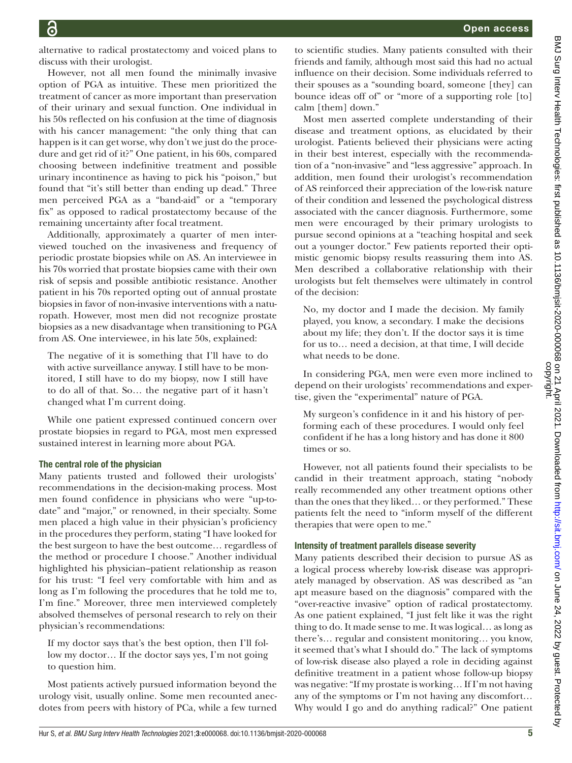alternative to radical prostatectomy and voiced plans to discuss with their urologist.

However, not all men found the minimally invasive option of PGA as intuitive. These men prioritized the treatment of cancer as more important than preservation of their urinary and sexual function. One individual in his 50s reflected on his confusion at the time of diagnosis with his cancer management: "the only thing that can happen is it can get worse, why don't we just do the procedure and get rid of it?" One patient, in his 60s, compared choosing between indefinitive treatment and possible urinary incontinence as having to pick his "poison," but found that "it's still better than ending up dead." Three men perceived PGA as a "band-aid" or a "temporary fix" as opposed to radical prostatectomy because of the remaining uncertainty after focal treatment.

Additionally, approximately a quarter of men interviewed touched on the invasiveness and frequency of periodic prostate biopsies while on AS. An interviewee in his 70s worried that prostate biopsies came with their own risk of sepsis and possible antibiotic resistance. Another patient in his 70s reported opting out of annual prostate biopsies in favor of non-invasive interventions with a naturopath. However, most men did not recognize prostate biopsies as a new disadvantage when transitioning to PGA from AS. One interviewee, in his late 50s, explained:

The negative of it is something that I'll have to do with active surveillance anyway. I still have to be monitored, I still have to do my biopsy, now I still have to do all of that. So… the negative part of it hasn't changed what I'm current doing.

While one patient expressed continued concern over prostate biopsies in regard to PGA, most men expressed sustained interest in learning more about PGA.

# The central role of the physician

Many patients trusted and followed their urologists' recommendations in the decision-making process. Most men found confidence in physicians who were "up-todate" and "major," or renowned, in their specialty. Some men placed a high value in their physician's proficiency in the procedures they perform, stating "I have looked for the best surgeon to have the best outcome… regardless of the method or procedure I choose." Another individual highlighted his physician–patient relationship as reason for his trust: "I feel very comfortable with him and as long as I'm following the procedures that he told me to, I'm fine." Moreover, three men interviewed completely absolved themselves of personal research to rely on their physician's recommendations:

If my doctor says that's the best option, then I'll follow my doctor… If the doctor says yes, I'm not going to question him.

Most patients actively pursued information beyond the urology visit, usually online. Some men recounted anecdotes from peers with history of PCa, while a few turned

to scientific studies. Many patients consulted with their friends and family, although most said this had no actual influence on their decision. Some individuals referred to their spouses as a "sounding board, someone [they] can bounce ideas off of" or "more of a supporting role [to] calm [them] down."

Most men asserted complete understanding of their disease and treatment options, as elucidated by their urologist. Patients believed their physicians were acting in their best interest, especially with the recommendation of a "non-invasive" and "less aggressive" approach. In addition, men found their urologist's recommendation of AS reinforced their appreciation of the low-risk nature of their condition and lessened the psychological distress associated with the cancer diagnosis. Furthermore, some men were encouraged by their primary urologists to pursue second opinions at a "teaching hospital and seek out a younger doctor." Few patients reported their optimistic genomic biopsy results reassuring them into AS. Men described a collaborative relationship with their urologists but felt themselves were ultimately in control of the decision:

No, my doctor and I made the decision. My family played, you know, a secondary. I make the decisions about my life; they don't. If the doctor says it is time for us to… need a decision, at that time, I will decide what needs to be done.

In considering PGA, men were even more inclined to depend on their urologists' recommendations and expertise, given the "experimental" nature of PGA.

My surgeon's confidence in it and his history of performing each of these procedures. I would only feel confident if he has a long history and has done it 800 times or so.

However, not all patients found their specialists to be candid in their treatment approach, stating "nobody really recommended any other treatment options other than the ones that they liked… or they performed." These patients felt the need to "inform myself of the different therapies that were open to me."

# Intensity of treatment parallels disease severity

Many patients described their decision to pursue AS as a logical process whereby low-risk disease was appropriately managed by observation. AS was described as "an apt measure based on the diagnosis" compared with the "over-reactive invasive" option of radical prostatectomy. As one patient explained, "I just felt like it was the right thing to do. It made sense to me. It was logical… as long as there's… regular and consistent monitoring… you know, it seemed that's what I should do." The lack of symptoms of low-risk disease also played a role in deciding against definitive treatment in a patient whose follow-up biopsy was negative: "If my prostate is working… If I'm not having any of the symptoms or I'm not having any discomfort… Why would I go and do anything radical?" One patient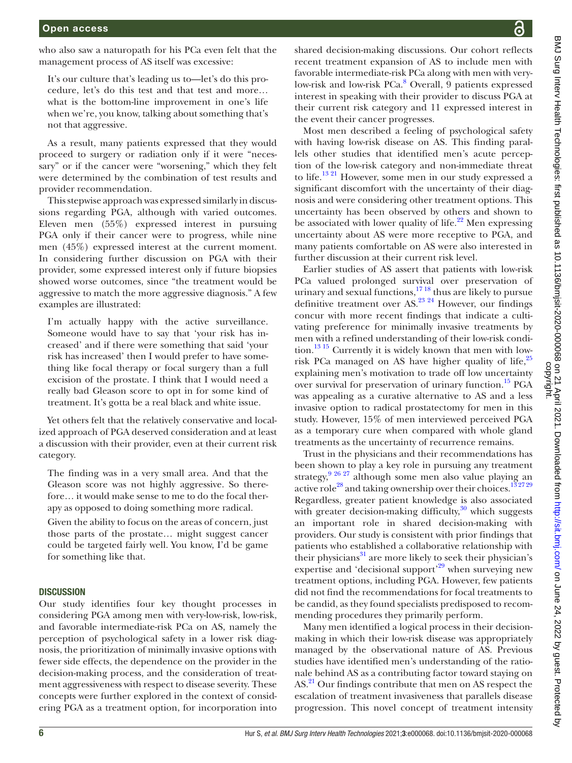who also saw a naturopath for his PCa even felt that the management process of AS itself was excessive:

It's our culture that's leading us to—let's do this procedure, let's do this test and that test and more… what is the bottom-line improvement in one's life when we're, you know, talking about something that's not that aggressive.

As a result, many patients expressed that they would proceed to surgery or radiation only if it were "necessary" or if the cancer were "worsening," which they felt were determined by the combination of test results and provider recommendation.

This stepwise approach was expressed similarly in discussions regarding PGA, although with varied outcomes. Eleven men (55%) expressed interest in pursuing PGA only if their cancer were to progress, while nine men (45%) expressed interest at the current moment. In considering further discussion on PGA with their provider, some expressed interest only if future biopsies showed worse outcomes, since "the treatment would be aggressive to match the more aggressive diagnosis." A few examples are illustrated:

I'm actually happy with the active surveillance. Someone would have to say that 'your risk has increased' and if there were something that said 'your risk has increased' then I would prefer to have something like focal therapy or focal surgery than a full excision of the prostate. I think that I would need a really bad Gleason score to opt in for some kind of treatment. It's gotta be a real black and white issue.

Yet others felt that the relatively conservative and localized approach of PGA deserved consideration and at least a discussion with their provider, even at their current risk category.

The finding was in a very small area. And that the Gleason score was not highly aggressive. So therefore… it would make sense to me to do the focal therapy as opposed to doing something more radical.

Given the ability to focus on the areas of concern, just those parts of the prostate… might suggest cancer could be targeted fairly well. You know, I'd be game for something like that.

#### **DISCUSSION**

Our study identifies four key thought processes in considering PGA among men with very-low-risk, low-risk, and favorable intermediate-risk PCa on AS, namely the perception of psychological safety in a lower risk diagnosis, the prioritization of minimally invasive options with fewer side effects, the dependence on the provider in the decision-making process, and the consideration of treatment aggressiveness with respect to disease severity. These concepts were further explored in the context of considering PGA as a treatment option, for incorporation into

shared decision-making discussions. Our cohort reflects recent treatment expansion of AS to include men with favorable intermediate-risk PCa along with men with very-low-risk and low-risk PCa.<sup>[8](#page-6-3)</sup> Overall, 9 patients expressed interest in speaking with their provider to discuss PGA at their current risk category and 11 expressed interest in the event their cancer progresses.

Most men described a feeling of psychological safety with having low-risk disease on AS. This finding parallels other studies that identified men's acute perception of the low-risk category and non-immediate threat to life.[13 21](#page-7-3) However, some men in our study expressed a significant discomfort with the uncertainty of their diagnosis and were considering other treatment options. This uncertainty has been observed by others and shown to be associated with lower quality of life.<sup>22</sup> Men expressing uncertainty about AS were more receptive to PGA, and many patients comfortable on AS were also interested in further discussion at their current risk level.

Earlier studies of AS assert that patients with low-risk PCa valued prolonged survival over preservation of urinary and sexual functions,<sup>1718</sup> thus are likely to pursue definitive treatment over AS.[23 24](#page-7-10) However, our findings concur with more recent findings that indicate a cultivating preference for minimally invasive treatments by men with a refined understanding of their low-risk condition.[13 15](#page-7-3) Currently it is widely known that men with low-risk PCa managed on AS have higher quality of life,<sup>[25](#page-7-11)</sup> explaining men's motivation to trade off low uncertainty over survival for preservation of urinary function.<sup>15</sup> PGA was appealing as a curative alternative to AS and a less invasive option to radical prostatectomy for men in this study. However, 15% of men interviewed perceived PGA as a temporary cure when compared with whole gland treatments as the uncertainty of recurrence remains.

Trust in the physicians and their recommendations has been shown to play a key role in pursuing any treatment strategy,[9 26 27](#page-6-4) although some men also value playing an active role<sup>28</sup> and taking ownership over their choices.<sup>132729</sup> Regardless, greater patient knowledge is also associated with greater decision-making difficulty,<sup>[30](#page-7-13)</sup> which suggests an important role in shared decision-making with providers. Our study is consistent with prior findings that patients who established a collaborative relationship with their physicians $31$  are more likely to seek their physician's expertise and 'decisional support'<sup>[29](#page-7-15)</sup> when surveying new treatment options, including PGA. However, few patients did not find the recommendations for focal treatments to be candid, as they found specialists predisposed to recommending procedures they primarily perform.

Many men identified a logical process in their decisionmaking in which their low-risk disease was appropriately managed by the observational nature of AS. Previous studies have identified men's understanding of the rationale behind AS as a contributing factor toward staying on AS.<sup>[21](#page-7-16)</sup> Our findings contribute that men on AS respect the escalation of treatment invasiveness that parallels disease progression. This novel concept of treatment intensity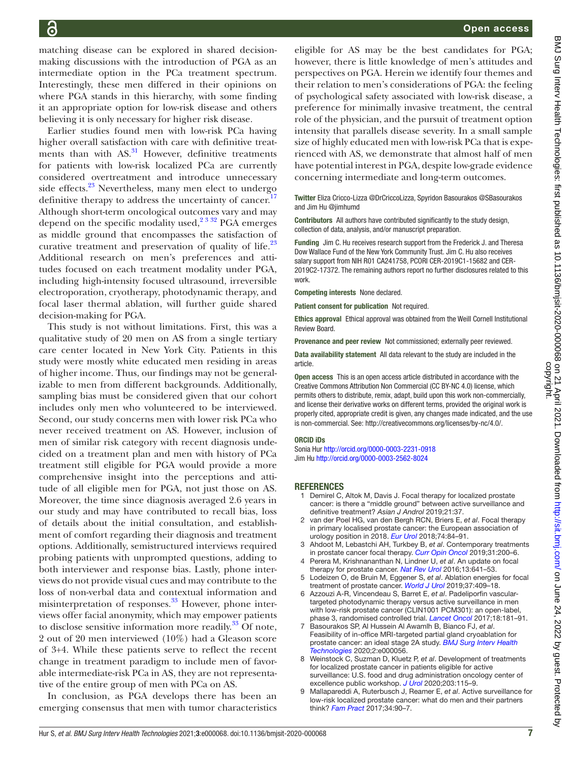Open access

matching disease can be explored in shared decisionmaking discussions with the introduction of PGA as an intermediate option in the PCa treatment spectrum. Interestingly, these men differed in their opinions on where PGA stands in this hierarchy, with some finding it an appropriate option for low-risk disease and others believing it is only necessary for higher risk disease.

Earlier studies found men with low-risk PCa having higher overall satisfaction with care with definitive treatments than with  $AS<sup>31</sup>$  However, definitive treatments for patients with low-risk localized PCa are currently considered overtreatment and introduce unnecessary side effects.<sup>23</sup> Nevertheless, many men elect to undergo definitive therapy to address the uncertainty of cancer.<sup>[17](#page-7-9)</sup> Although short-term oncological outcomes vary and may depend on the specific modality used,<sup>2 3 32</sup> PGA emerges as middle ground that encompasses the satisfaction of curative treatment and preservation of quality of life. $^{23}$  $^{23}$  $^{23}$ Additional research on men's preferences and attitudes focused on each treatment modality under PGA, including high-intensity focused ultrasound, irreversible electroporation, cryotherapy, photodynamic therapy, and focal laser thermal ablation, will further guide shared decision-making for PGA.

This study is not without limitations. First, this was a qualitative study of 20 men on AS from a single tertiary care center located in New York City. Patients in this study were mostly white educated men residing in areas of higher income. Thus, our findings may not be generalizable to men from different backgrounds. Additionally, sampling bias must be considered given that our cohort includes only men who volunteered to be interviewed. Second, our study concerns men with lower risk PCa who never received treatment on AS. However, inclusion of men of similar risk category with recent diagnosis undecided on a treatment plan and men with history of PCa treatment still eligible for PGA would provide a more comprehensive insight into the perceptions and attitude of all eligible men for PGA, not just those on AS. Moreover, the time since diagnosis averaged 2.6 years in our study and may have contributed to recall bias, loss of details about the initial consultation, and establishment of comfort regarding their diagnosis and treatment options. Additionally, semistructured interviews required probing patients with unprompted questions, adding to both interviewer and response bias. Lastly, phone interviews do not provide visual cues and may contribute to the loss of non-verbal data and contextual information and misinterpretation of responses.<sup>33</sup> However, phone interviews offer facial anonymity, which may empower patients to disclose sensitive information more readily.<sup>33</sup> Of note, 2 out of 20 men interviewed (10%) had a Gleason score of 3+4. While these patients serve to reflect the recent change in treatment paradigm to include men of favorable intermediate-risk PCa in AS, they are not representative of the entire group of men with PCa on AS.

In conclusion, as PGA develops there has been an emerging consensus that men with tumor characteristics eligible for AS may be the best candidates for PGA; however, there is little knowledge of men's attitudes and perspectives on PGA. Herein we identify four themes and their relation to men's considerations of PGA: the feeling of psychological safety associated with low-risk disease, a preference for minimally invasive treatment, the central role of the physician, and the pursuit of treatment option intensity that parallels disease severity. In a small sample size of highly educated men with low-risk PCa that is experienced with AS, we demonstrate that almost half of men have potential interest in PGA, despite low-grade evidence concerning intermediate and long-term outcomes.

Twitter Eliza Cricco-Lizza [@DrCriccoLizza](https://twitter.com/DrCriccoLizza), Spyridon Basourakos [@SBasourakos](https://twitter.com/SBasourakos)  and Jim Hu [@jimhumd](https://twitter.com/jimhumd)

Contributors All authors have contributed significantly to the study design, collection of data, analysis, and/or manuscript preparation.

Funding Jim C. Hu receives research support from the Frederick J. and Theresa Dow Wallace Fund of the New York Community Trust. Jim C. Hu also receives salary support from NIH R01 CA241758, PCORI CER-2019C1-15682 and CER-2019C2-17372. The remaining authors report no further disclosures related to this work.

Competing interests None declared.

Patient consent for publication Not required.

Ethics approval Ethical approval was obtained from the Weill Cornell Institutional Review Board.

Provenance and peer review Not commissioned; externally peer reviewed.

Data availability statement All data relevant to the study are included in the article.

Open access This is an open access article distributed in accordance with the Creative Commons Attribution Non Commercial (CC BY-NC 4.0) license, which permits others to distribute, remix, adapt, build upon this work non-commercially, and license their derivative works on different terms, provided the original work is properly cited, appropriate credit is given, any changes made indicated, and the use is non-commercial. See: [http://creativecommons.org/licenses/by-nc/4.0/.](http://creativecommons.org/licenses/by-nc/4.0/)

#### ORCID iDs

Sonia Hur <http://orcid.org/0000-0003-2231-0918> Jim Hu <http://orcid.org/0000-0003-2562-8024>

#### <span id="page-6-0"></span>**REFERENCES**

- 1 Demirel C, Altok M, Davis J. Focal therapy for localized prostate cancer: is there a "middle ground" between active surveillance and definitive treatment? *Asian J Androl* 2019;21:37.
- <span id="page-6-1"></span>2 van der Poel HG, van den Bergh RCN, Briers E, *et al*. Focal therapy in primary localised prostate cancer: the European association of urology position in 2018. *[Eur Urol](http://dx.doi.org/10.1016/j.eururo.2018.01.001)* 2018;74:84–91.
- 3 Ahdoot M, Lebastchi AH, Turkbey B, *et al*. Contemporary treatments in prostate cancer focal therapy. *[Curr Opin Oncol](http://dx.doi.org/10.1097/CCO.0000000000000515)* 2019;31:200–6.
- 4 Perera M, Krishnananthan N, Lindner U, *et al*. An update on focal therapy for prostate cancer. *[Nat Rev Urol](http://dx.doi.org/10.1038/nrurol.2016.177)* 2016;13:641–53.
- <span id="page-6-2"></span>5 Lodeizen O, de Bruin M, Eggener S, *et al*. Ablation energies for focal treatment of prostate cancer. *[World J Urol](http://dx.doi.org/10.1007/s00345-018-2364-x)* 2019;37:409–18.
- 6 Azzouzi A-R, Vincendeau S, Barret E, *et al*. Padeliporfin vasculartargeted photodynamic therapy versus active surveillance in men with low-risk prostate cancer (CLIN1001 PCM301): an open-label, phase 3, randomised controlled trial. *[Lancet Oncol](http://dx.doi.org/10.1016/S1470-2045(16)30661-1)* 2017;18:181–91.
- 7 Basourakos SP, Al Hussein Al Awamlh B, Bianco FJ, *et al*. Feasibility of in-office MRI-targeted partial gland cryoablation for prostate cancer: an ideal stage 2A study. *[BMJ Surg Interv Health](http://dx.doi.org/10.1136/bmjsit-2020-000056)  [Technologies](http://dx.doi.org/10.1136/bmjsit-2020-000056)* 2020;2:e000056.
- <span id="page-6-3"></span>8 Weinstock C, Suzman D, Kluetz P, *et al*. Development of treatments for localized prostate cancer in patients eligible for active surveillance: U.S. food and drug administration oncology center of excellence public workshop. *[J Urol](http://dx.doi.org/10.1097/JU.0000000000000532)* 2020;203:115–9.
- <span id="page-6-4"></span>9 Mallapareddi A, Ruterbusch J, Reamer E, *et al*. Active surveillance for low-risk localized prostate cancer: what do men and their partners think? *[Fam Pract](http://dx.doi.org/10.1093/fampra/cmw123)* 2017;34:90–7.